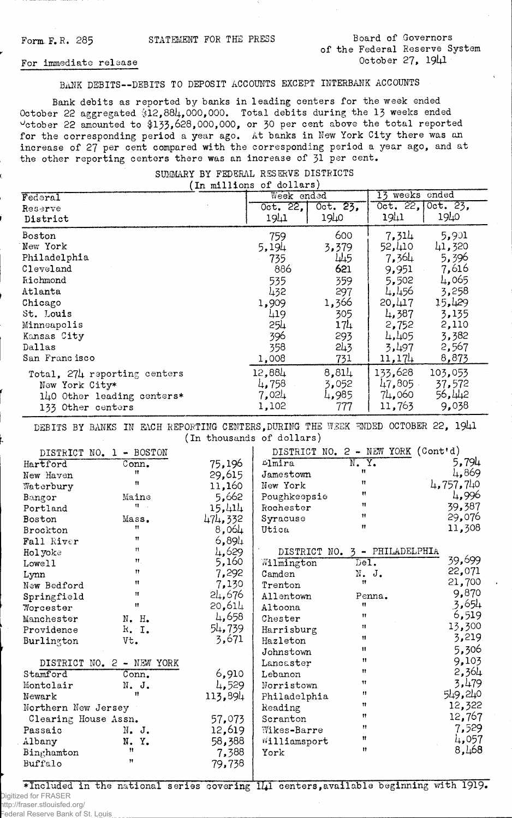## Form F.R. 285 STATEMENT FOR THE PRESS Board of Governors of the Federal Reserve System October 27, 1941

## For immediate release

BANK DEBITS— DEBITS TO DEPOSIT ACCOUNTS EXCEPT INTERBANK ACCOUNTS

Bank debits as reported by banks in leading centers for the week ended October 22 aggregated §12,881+, 000,000. Total debits during the 13 weeks ended  $\rm v_{\rm c}$ tober 22 amounted to \$13**3,6**28,000,000, or 30 per cent above the total reported for the corresponding period a year ago. At banks in New York City there was an increase of 27 per cent compared with the corresponding period a year ago, and at the other reporting centers there was an increase of 31 per cent.

| (In millions of dollars)                                                                          |                                   |                                |                                       |                                      |  |
|---------------------------------------------------------------------------------------------------|-----------------------------------|--------------------------------|---------------------------------------|--------------------------------------|--|
| Federal                                                                                           | Week ended                        |                                | 13 weeks ended                        |                                      |  |
| Reserve                                                                                           | Oct. 22,                          | Oct. 23,                       |                                       | Oct. 22, Oct. 23,                    |  |
| District                                                                                          | 1941                              | 1940                           | 19 <sub>11</sub>                      | 1940                                 |  |
| Boston                                                                                            | 759                               | 600                            | 7,314                                 | 5,901                                |  |
| New York                                                                                          | 5,194                             | 3,379                          | 52,410                                | 41,320                               |  |
| Philadelphia                                                                                      | 735                               | 445                            | 7,364                                 | 5,396                                |  |
| Cleveland                                                                                         | 886                               | 621                            | 9,951                                 | 7,616                                |  |
| <b><i><u>Richmond</u></i></b>                                                                     | 535                               | 359                            | 5,502                                 | 4.065                                |  |
| Atlanta                                                                                           | 432                               | 297                            | 4,456                                 | 3,258                                |  |
| Chicago                                                                                           | 1,909                             | 1,366                          | 20,417                                | 15,429                               |  |
| St. Louis                                                                                         | 419                               | 305                            | 4,387                                 | 3,135                                |  |
| Minneapolis                                                                                       | 254                               | $17\mu$                        | 2,752                                 | 2,110                                |  |
| Kansas City                                                                                       | 396                               | 293                            | 4,405                                 | 3,382                                |  |
| Dallas                                                                                            | 358                               | 243                            | 3,497                                 | 2,567                                |  |
| San Francisco                                                                                     | 1,008                             | 731                            | 11,174                                | 8,873                                |  |
| Total, 274 reporting centers<br>New York City*<br>140 Other leading centers*<br>133 Other centers | 12,884<br>4,758<br>7,024<br>1,102 | 8,814<br>3,052<br>4,985<br>777 | 133,628<br>47,805<br>74,060<br>11,763 | 103,053<br>37,572<br>56,442<br>9,038 |  |

## SUMARY BY FEDERAL RESERVE DISTRICTS

DEBITS BY BANKS IN EACH REPORTING CENTERS, DURING THE WEEK ENDED OCTOBER 22, 1941 (In thousands of dollars)

| DISTRICT NO. 1 - BOSTON   |          |           | DISTRICT NO. 2 - NEW YORK (Cont'd) |                           |           |
|---------------------------|----------|-----------|------------------------------------|---------------------------|-----------|
| Hartford                  | Conn.    | 75,196    | $L_{\text{1m}ira}$                 | N. Y.                     | 5,794     |
| New Haven                 | 11       | 29,615    | Jamestown                          | Ħ                         | 4,869     |
| Waterbury                 | Ħ        | 11,160    | New York                           | Ħ                         | 4,757,740 |
| Bangor                    | Maine    | 5,662     | Poughkeepsie                       | Ħ                         | 4,996     |
| Portland                  | $n =$    | 15,414    | Rochester                          | Ħ                         | 39,387    |
| Boston                    | Mass.    | 474,332   | Syracuse                           | $\mathbf{H}$              | 29,076    |
| Brockton                  | 11       | 8,064     | Utica                              | $^{\bullet}$              | 11,308    |
| Fall River                | 11       | $6,89\mu$ |                                    |                           |           |
| Holyoke                   | n        | 4,629     | DISTRICT NO. 3 - PHILADELPHIA      |                           |           |
| Lowell                    | 11.      | 5,160     | Wilmington                         | $\overline{\text{DeI}}$ . | 39,699    |
| Lynn                      | n        | 7,292     | Camden                             | N. J.                     | 22,071    |
| New Bedford               | Ħ        | 7,130     | Trenton                            | $^{\bullet}$              | 21,700    |
| Springfield               | Ħ        | 24,676    | Allentown                          | Penna.                    | 9,870     |
| Worcester                 | Ħ        | 20,614    | Altoona                            | $\mathbf{H}$              | 3,654     |
| Manchester                | N. H.    | 4,658     | Chester                            | 11                        | 6,519     |
| Providence                | R. I.    | 54,739    | Harrisburg                         | $\mathbf{H}$              | 13,300    |
| Burlington                | Vt.      | 3,671     | Hazleton                           | $\mathbf{H}$              | 3,219     |
|                           |          |           | Johnstown                          | Ħ                         | 5,306     |
| DISTRICT NO. 2 - NEW YORK |          | Lancaster | $^{\bullet}$                       | 9,103                     |           |
| Stamford                  | Conn.    | 6,910     | Lebanon                            | $\mathbf{H}$              | 2,364     |
| Montclair                 | N. J.    | 4,529     | Norristown                         | 11                        | 3,479     |
| Newark                    | 11       | 113,894   | Philadelphia                       | 11                        | 549,240   |
| Northern New Jersey       |          | Reading   | Ħ                                  | 12,322                    |           |
| Clearing House Assn.      |          | 57,073    | Scranton                           | Ħ                         | 12,767    |
| Passaic                   | N. J.    | 12,619    | Wikes-Barre                        | Ħ                         | 7,529     |
| Albany                    | Y.<br>N. | 58,388    | Williamsport                       | $^{\bullet}$              | 4,057     |
| Binghamton                | Ħ        | 7,388     | York                               | 11                        | 8,468     |
| Buffalo                   | Ħ        | 79,738    |                                    |                           |           |
|                           |          |           |                                    |                           |           |

\*Included in the national series covering  $111$  centers, available beginning with 1919. Digitized for FRASER

http://fraser.stlouisfed.org/ Federal Reserve Bank of St. Louis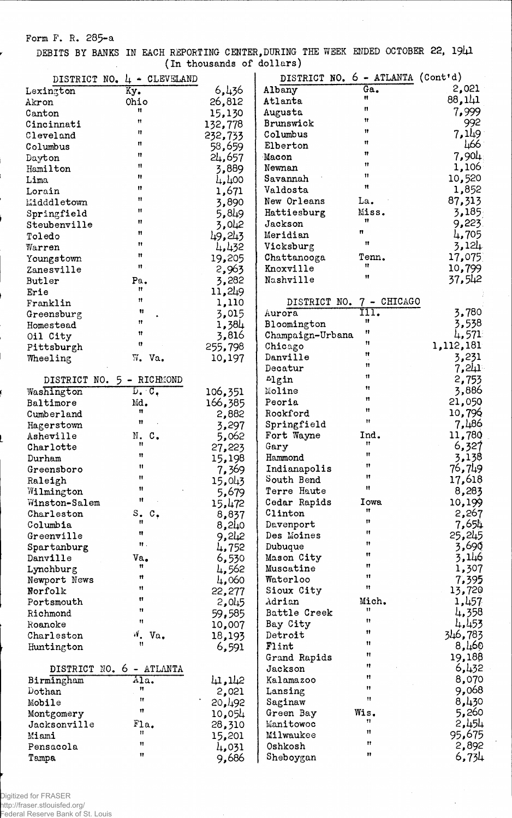Form F. R. 285-a

r

DEBITS BY BANKS IN EACH REPORTING CENTER, DURING THE WEEK ENDED OCTOBER 22, 1941 (In thousands of dollars)

|                           |                            | ------------   |                           |                                   |                |
|---------------------------|----------------------------|----------------|---------------------------|-----------------------------------|----------------|
|                           | DISTRICT NO. 4 - CLEVELAND |                |                           | DISTRICT NO. 6 - ATLANTA (Cont'd) |                |
| Lexington                 | Ky.                        | 6,436          | Albany                    | Ga.<br>Ħ                          | 2,021          |
| Akron                     | Ohio<br>Ħ                  | 26,812         | Atlanta                   | n                                 | 88,141         |
| Canton                    | Ħ                          | 15,130         | Augusta                   | Ħ                                 | 7,999          |
| Cincinnati                | Ħ                          | 132,778        | Brunswick                 | 11                                | 992            |
| Cleveland                 | n                          | 232,733        | Columbus                  | Ħ                                 | 7,149          |
| Columbus                  | n                          | 58,659         | Elberton                  | 11                                | 466            |
| Dayton                    | n                          | 24,657         | Macon                     | $^{\dagger}$                      | 7,904          |
| Hamilton                  | Ħ                          | 3,889          | Newnan                    | 11                                | 1,106          |
| Lima                      | Ħ                          | 4,400          | Savannah                  | Ħ                                 | 10,520         |
| Lorain                    | Ħ                          | 1,671          | Valdosta                  |                                   | 1,852          |
| Midddletown               | Ħ                          | 3,890          | New Orleans               | La.                               | 87,313         |
| Springfield               | Ħ                          | 5,849          | Hattiesburg               | Miss.<br>$\mathbf{H}$             | 3,185          |
| Steubenville              | 11                         | 3,042          | Jackson                   | n                                 | 9,223          |
| Toledo                    | Ħ                          | 49,243         | Meridian                  | $\mathbf{H}$                      | 4,705          |
| Warren                    | Ħ                          | 4,432          | Vicksburg                 |                                   | 3,124          |
| Youngstown                | Ħ                          | 19,205         | Chattanooga               | Tenn.<br>11                       | 17,075         |
| Zanesville                |                            | 2,963          | Knoxville                 | Ħ                                 | 10,799         |
| Butler                    | Pa.<br>Ħ                   | 3,282          | Nashville                 |                                   | 37,542         |
| Erie                      | Ħ                          | 11,249         |                           |                                   |                |
| Franklin                  | Ħ                          | 1,110          | DISTRICT NO.              | 7 - CHICAGO                       |                |
| Greensburg                | Ħ                          | 3,015          | Aurora                    | m.<br>11                          | 3,780          |
| Homestead                 | 11                         | 1,384          | Bloomington               | Ħ                                 | 3,538          |
| Oil City                  | u                          | 3,816          | Champaign-Urbana          | Ħ                                 | 4,571          |
| Pittsburgh                |                            | 255,798        | Chicago                   | Ħ                                 | 1,112,181      |
| Wheeling                  | W. Va.                     | 10,197         | Danville                  | Ħ                                 | 3,231          |
|                           |                            |                | Decatur                   | Ħ                                 | 7,241          |
| DISTRICT NO. 5 - RICHMOND |                            |                | Llgin                     | 11                                | 2,753          |
| Washington                | D. C.                      | 106,351        | Moline                    | Ħ                                 | 3,886          |
| Baltimore                 | Md.<br>11                  | 166,385        | Peoria                    | 11                                | 21,050         |
| Cumberland                | $\mathbf{u}$               | 2,882          | Rockford                  | Ħ                                 | 10,796         |
| Hagerstown                |                            | 3,297          | Springfield<br>Fort Wayne | Ind.                              | 7,486          |
| Asheville                 | N. C.<br>n                 | 5,062          | Gary                      | Ħ                                 | 11,780         |
| Charlotte                 | Ħ                          | 27,223         | Hammond                   | Ħ                                 | 6,327<br>3,138 |
| Durham<br>Greensboro      | Ħ                          | 15,198         | Indianapolis              | 11                                | 76,749         |
|                           | Ħ                          | 7,369          | South Bend                | Ħ                                 | 17,618         |
| Raleigh<br>Wilmington     | Ħ                          | 15,043         | Terre Haute               | Ħ                                 | 8,283          |
| Winston-Salem             | Ħ                          | 5,679          | Cedar Rapids              | Iowa                              | 10,199         |
| Charleston                | s. c.                      | 15,472         | Clinton                   | Ħ                                 | 2,267          |
| Columbia                  | n                          | 8,837<br>8,240 | Davenport                 | 11                                | 7,654          |
| Greenville                | Ħ                          | 9,242          | Des Moines                | Ħ                                 | 25,245         |
| Spartanburg               | Ħ.,                        | 4,752          | Dubuque                   | Ħ                                 | 3,690          |
| Danville                  | Va.                        | 6,530          | Mason City                | Ħ                                 | 3,146          |
| Lynchburg                 | 11                         | 4,562          | Muscatine                 | Ħ                                 | 1,307          |
| Newport News              | 11                         | 4,060          | Waterloo                  | 11                                | 7,395          |
| Norfolk                   | 11                         | 22,277         | Sioux City                | 11                                | 13,720         |
| Portsmouth                | Ħ                          | 2,045          | Adrian                    | Mich.                             | 1,457          |
| Richmond                  | Ħ                          | 59,585         | Battle Creek              | Ħ                                 | 4,358          |
| Roanoke                   | 11                         | 10,007         | Bay City                  | Ħ                                 | 4,453          |
| Charleston                | ۷Ĭ.<br>Va,                 | 18,193         | Detroit                   | 11                                | 346,783        |
| Huntington                | Ħ                          | 6,591          | Flint                     | Ħ                                 | 8,460          |
|                           |                            |                | Grand Rapids              | Ħ                                 | 19,188         |
| DISTRICT NO. 6 - ATLANTA  |                            |                | Jackson                   | 11                                | 6,432          |
| Birmingham                | Ala.                       | 41,142         | Kalamazoo                 | n                                 | 8,070          |
| Dothan                    | Ħ                          | 2,021          | Lansing                   | Ħ                                 | 9,068          |
| Mobile                    | Ħ                          | 20,192         | Saginaw                   | Ħ                                 | 8,430          |
| Montgomery                | 11                         | 10,054         | Green Bay                 | Wis.                              | 5,260          |
| Jacksonville              | Fla.                       | 28,310         | Manitowoc                 | Ħ                                 | 2,454          |
| Miami                     | $\mathbf{H}$               | 15,201         | Milwaukee                 | 11                                | 95,675         |
| Pensacola                 | 11                         | 4,031          | Oshkosh                   | Ħ                                 | 2,892          |
| Tampa                     | 11                         | 9,686          | Sheboygan                 | Ħ                                 | 6,734          |